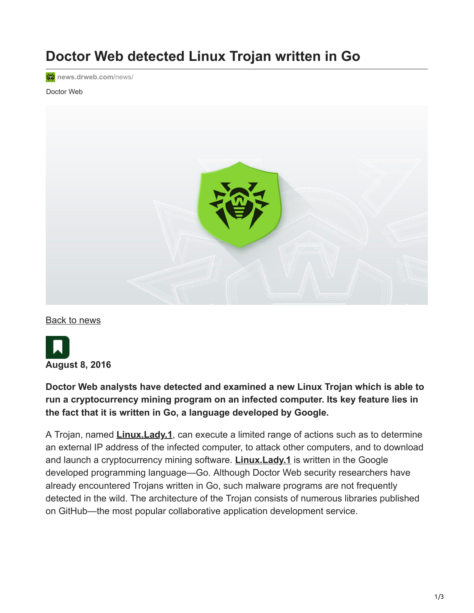# **Doctor Web detected Linux Trojan written in Go**

**<sup>o</sup>** [news.drweb.com](https://news.drweb.com/news/?i=10140&lng=en)/news/

#### Doctor Web



[Back to news](https://news.drweb.com/list/?p=0&lng=en&c=5)



### **Doctor Web analysts have detected and examined a new Linux Trojan which is able to run a cryptocurrency mining program on an infected computer. Its key feature lies in the fact that it is written in Go, a language developed by Google.**

A Trojan, named **[Linux.Lady.1](https://vms.drweb.com/search/?q=Linux.Lady.1&lng=en)**, can execute a limited range of actions such as to determine an external IP address of the infected computer, to attack other computers, and to download and launch a cryptocurrency mining software. **[Linux.Lady.1](https://vms.drweb.com/search/?q=Linux.Lady.1&lng=en)** is written in the Google developed programming language—Go. Although Doctor Web security researchers have already encountered Trojans written in Go, such malware programs are not frequently detected in the wild. The architecture of the Trojan consists of numerous libraries published on GitHub—the most popular collaborative application development service.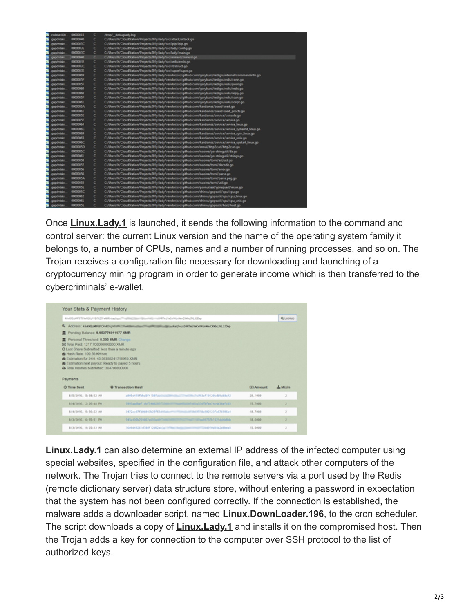|   | redata:000     | 00000005 | c | /tmg/_debuglady.log                                                                                         |
|---|----------------|----------|---|-------------------------------------------------------------------------------------------------------------|
|   | asacintals:    | 00000040 | c | C:/Useru/h/CloudStation/Projects/0/ly/lady/src/attack/attack.go                                             |
|   | asocintab:     | 0000003C | c | C:/Users/h/CloudStation/Projects/0/ly/lady/src/ipip/ipip.go                                                 |
|   | asednitab:     | 0000003E | c | C:/Users/IVCloudStation/Projects/0/Is/Tady/src/Tady/config.go                                               |
|   | goodnitab.     | 0000003C | c | C:/Users/h/CloudStation/Projects/0/ly/lady/src/lady/main.go                                                 |
|   | asachitab:     | 00000040 | c | C:/Users/h/CloudStation/Projects/0/ly/lady/src/minerd/minerd.go                                             |
|   | asedniteb:     | 0000003E | c | C:/Users/Iv/CloudStation/Projects/0/Iv/lady/src/redis/redis.go                                              |
|   | conciritabi    | 0000003C | c | C/Users/IVCloudStation/Projects/0/ly/lady/src/st/struct.go                                                  |
|   | asocintab:     | 0000003E | c | C:/Useru/h/CloudStation/Projectu/0/ly/lady/urc/super/super.go                                               |
|   | goodhitab:     | 00000069 | c | C:/Users/h/CloudStation/Projects/0/ly/lady/vendor/src/github.com/garyburd/redigo/internal/commandinfo.go    |
|   | onechitab:     | 0000005F | c | C:/Users/h/CloudStation/Projects/0/ly/lady/vendor/src/github.com/garybund/redigo/redis/conn.go              |
|   | asacintab:     | 0000005F | c | C:/Users/h/CloudStation/Projects/0/ly/lady/vendor/src/github.com/garyburd/redigo/redis/pool.go              |
|   | asocintab:     | 00000060 | c | C:/Users/h/CloudStation/Projects/0/ly/lady/vendor/src/github.com/garyburd/redigo/redis/redis.go             |
|   | asednitab:     | 00000060 | c | C:/Users/h/CloudStation/Projects/0/ly/lady/vendor/src/github.com/garyburd/redigo/redis/reply.go             |
|   | aspaintabl     | 0000005F | c | C:/Users/Iv/CloudStation/Projects/0/hy/lady/vendor/src/github.com/garyburd/redigo/redis/scan.go             |
|   | asocintab:     | 00000061 | c | C:/Users/h/CloudStation/Projects/0/ly/lady/vendor/src/github.com/garyburd/redigo/redis/script.go            |
| v | aspointab:     | 0000005A | c | C:/Users/h/CloudStation/Projects/0/h/Tady/vendor/src/github.com/kardianos/osext/osext.go                    |
| w | onecivitabe    | 00000061 | c | C:/Users/Iv/CloudStation/Projects/0/Iv/Tady/vendor/src/github.com/Itardianos/osert/osext_procfs.go          |
|   | asacintals:    | 0000005E | c | C:/Users/h/CloudStation/Projects/0/ly/Tady/vendor/src/github.com/kardianos/service/console.go               |
|   | asocintab:     | 0000005E | c | C:/Users/h/CloudStation/Projects/0/ly/lady/vendor/src/github.com/kardianos/service/service.go               |
|   | onechnitab:    | 00000064 | c | C:/Users/h/CloudStation/Projects/0/ly/lady/vendor/src/github.com/kardianos/service/service_linux.go         |
|   | onocinitaba    | 0000006C | c | C:/Users/N/CloudStation/Projects/0/ly/lady/vendor/src/github.com/kardianos/service/service_systemd_linux.go |
|   | asocintab:     | 00000069 | c | C:/Users/h/CloudStation/Projects/0/ly/lady/vendor/src/github.com/kardianos/service/service_sysv_linux.go    |
|   | asedntab:      | 00000063 | c | C:/Users/h/CloudStation/Projects/0/ly/fady/vendor/src/github.com/kardianos/service/service_unix.go          |
|   | arechitabi     | 0000006C | c | C:/Users/N/CloudStation/Projects/0/Is/Tady/vendor/src/github.com/kardianos/service/service_upstart_linux.go |
|   | asocintab:     | 0000005D | c | C:/Users/h/CloudStation/Projects/0/ly/lady/vendor/src/github.com/moul/http2curl/http2curl.go                |
|   | asocintab:     | 0000005C | c | C:/Users/h/CloudStation/Projects/0/Iv/Tady/vendor/src/github.com/naoina/go-stringutil/da.go                 |
| × | arecivitab:    | 00000061 | c | C:/Users/h/CloudStation/Projects/0/ly/lady/vendor/src/github.com/nacina/go-stringutil/strings.go            |
|   | onocinitab:    | 00000058 | с | C:/Users/h/CloudStation/Projects/0/hy/lady/vendor/src/github.com/nacina/toml/ast/ast.go                     |
|   | asocintab:     | 00000057 | c | C:/Users/h/CloudStation/Projects/0/ly/lady/vendor/src/github.com/naoina/toml/decode.go                      |
|   | asocivitab:    | 00000056 | c | C:/Users/h/CloudStation/Projects/0/h/Tady/vendor/src/github.com/naoina/toml/error.go                        |
|   | onocivitabi    | 00000056 | c | C:/Users/h/CloudStation/Projects/0/ly/fady/vendor/src/github.com/naoina/toml/parse.go                       |
|   | asocintab:     | 0000005A | c | C:/Users/h/CloudStation/Projects/0/ly/lady/vendor/src/github.com/naoina/toml/parse.peg.go                   |
|   | asocintab:     | 00000055 | c | C:/Users/h/CloudStation/Projects/0/hy/lady/vendor/src/github.com/naoina/toml/util.go                        |
|   | arednitely.    | 0000005E | c | C:/Users/h/CloudStation/Projects/0/ly/lady/vendor/src/github.com/parnurreal/gorequest/main.go               |
| v | asocintab:     | 0000005C | с | C:/Users/h/CloudStation/Projects/0/h//lady/vendon/src/github.com/shirou/gopsutil/cpu/cpu.go                 |
| ÷ | goodniteb:     | 00000062 | c | C:/Users/h/CloudStation/Projects/0/ly/lady/vendor/src/github.com/shirou/gopsutil/cpu/cpu_linux.go           |
| w | groothitab:    | 00000061 | c | C:/Users/h/CloudStation/Projects/0/ly/lady/vendor/src/github.com/shirou/gopsutil/cpu/cpu_unix.go            |
| w | grapolinitalni | 0000005F | c | C:/Users/h/CloudStation/Projects/0/ly/lady/vendor/src/github.com/shirou/gopsutil/host/host.go               |

Once **[Linux.Lady.1](https://vms.drweb.com/search/?q=Linux.Lady.1&lng=en)** is launched, it sends the following information to the command and control server: the current Linux version and the name of the operating system family it belongs to, a number of CPUs, names and a number of running processes, and so on. The Trojan receives a configuration file necessary for downloading and launching of a cryptocurrency mining program in order to generate income which is then transferred to the cybercriminals' e-wallet.

|                                                                                                                                | 43-695 pMW 87CV-PDS (VTBFK2,7FaARMy-tachism) (The officers (Specified) == (DRT n (TeCa+1) clima(198x 2HL) (Tape) |                   | Q. Lookup      |
|--------------------------------------------------------------------------------------------------------------------------------|------------------------------------------------------------------------------------------------------------------|-------------------|----------------|
|                                                                                                                                | R. Address: 49-4062449 ETCHAOLENTERSCHLUSSERSUSERTEIGEN SEINER SEINER VOLKEN WAREN EINBACORDERLIZUNG             |                   |                |
| 盒 Pending Balance: 9.953776911177 XMR                                                                                          |                                                                                                                  |                   |                |
| B Hash Rate: 109.56 KH/sec<br>2 Estimation for 24H: 45.58788241718915 XMR<br>B Estimation next payout: Ready to payed 5 hours. |                                                                                                                  |                   |                |
| C Total Hashes Submitted: 304798800000<br>Payments                                                                             |                                                                                                                  |                   |                |
| C Time Sent                                                                                                                    | <b>C</b> Transaction Hash                                                                                        | <b>CIO Amount</b> | A. Mixin       |
| 8/5/2016. 5:58:52 AM                                                                                                           | a005e419fbba5f41507ctrl<br>mail@mail@milleth.laf19120cdbfub&c42                                                  | 29.1000           | $\overline{z}$ |
| 8/4/2016, 2:26:48 PM                                                                                                           | 5395aadhaftchf5easconntromentingummanutural alta tha Technical Gefeld                                            | 15.7000           | ۵              |
| 8/4/2016, 5:56:22 AM                                                                                                           | 3472cc97fd0b843b25f69dH5ult<br>matter/de6451dw902123fe676906e4                                                   | 18.7000           | 2              |
| 8/3/2016, 6:55:51 PM                                                                                                           | 545a493b749867a455a48f7wach4fft@fft@fft@fft@fft@fftaaf975fb1521dd4b8bb                                           | 18,6000           | $\overline{z}$ |

**Linux. Lady. 1** can also determine an external IP address of the infected computer using special websites, specified in the configuration file, and attack other computers of the network. The Trojan tries to connect to the remote servers via a port used by the Redis (remote dictionary server) data structure store, without entering a password in expectation that the system has not been configured correctly. If the connection is established, the malware adds a downloader script, named **[Linux.DownLoader.196](https://vms.drweb.com/search/?q=Linux.DownLoader.196&lng=en)**, to the cron scheduler. The script downloads a copy of **[Linux.Lady.1](https://vms.drweb.com/search/?q=Linux.Lady.1&lng=en)** and installs it on the compromised host. Then the Trojan adds a key for connection to the computer over SSH protocol to the list of authorized keys.